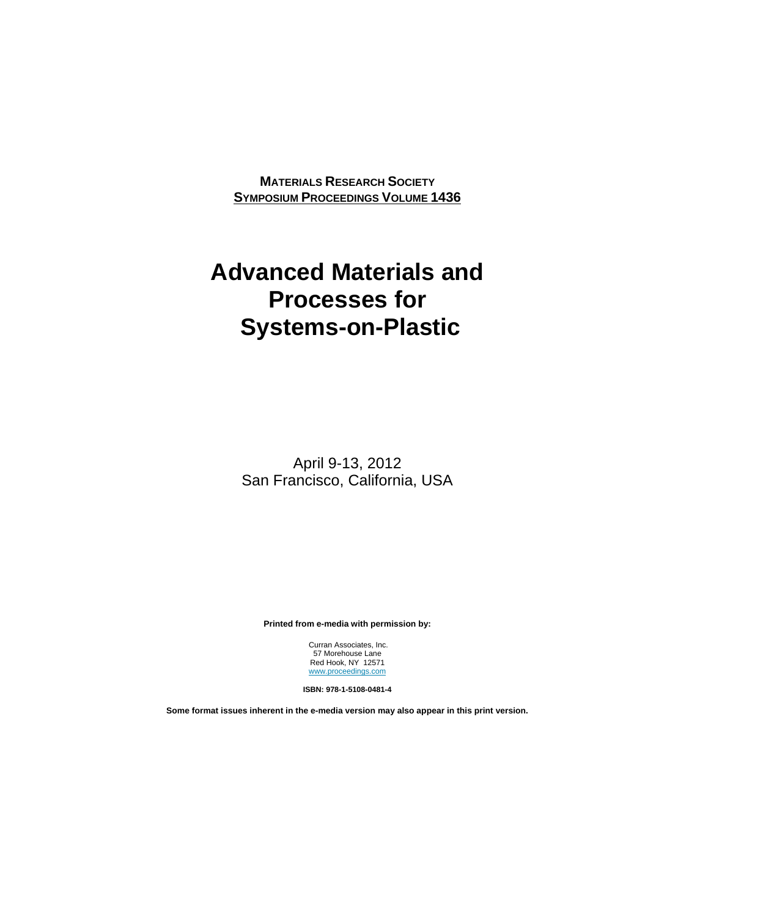**MATERIALS RESEARCH SOCIETY SYMPOSIUM PROCEEDINGS VOLUME 1436**

## **Advanced Materials and Processes for Systems-on-Plastic**

April 9-13, 2012 San Francisco, California, USA

**Printed from e-media with permission by:** 

 Curran Associates, Inc. 57 Morehouse Lane Red Hook, NY 12571 www.proceedings.com

**ISBN: 978-1-5108-0481-4** 

**Some format issues inherent in the e-media version may also appear in this print version.**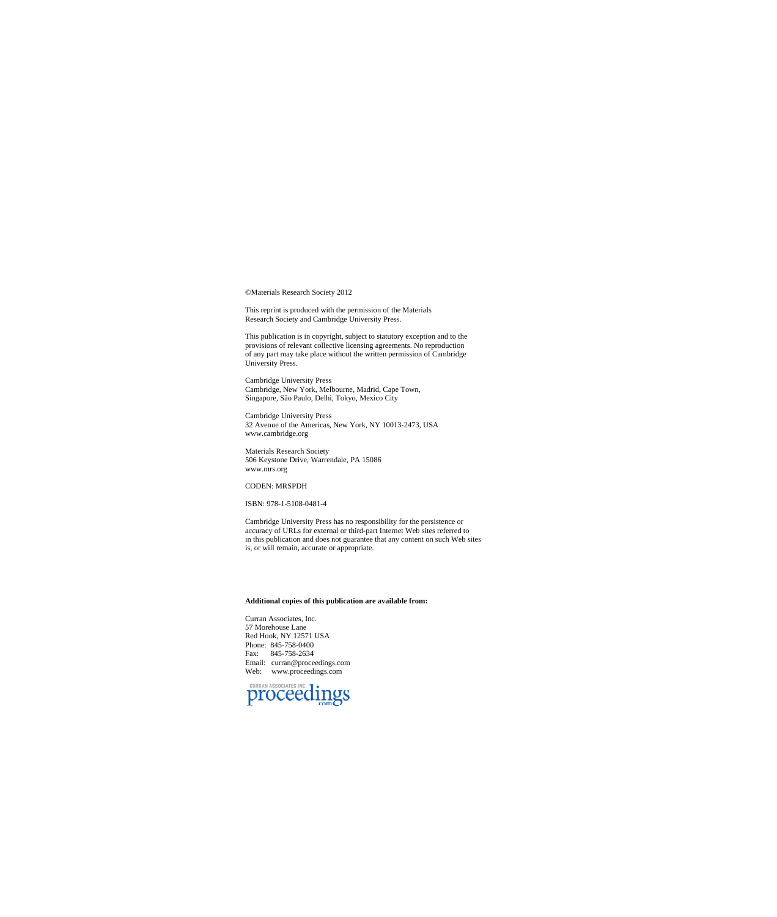©Materials Research Society 2012

This reprint is produced with the permission of the Materials Research Society and Cambridge University Press.

This publication is in copyright, subject to statutory exception and to the provisions of relevant collective licensing agreements. No reproduction of any part may take place without the written permission of Cambridge Uni

Cambridge University Press Cambridge, New York, Melbourne, Madrid, Cape Town, Singapore, São Paulo, Delhi, Tokyo, Mexico City

Cambridge University Press 32 Avenue of the Americas, New York, NY 10013-2473, USA www.cambridge.org

Materials Research Society 506 Keystone Drive, Warrendale, PA 15086 www.mrs.org

## CODEN: MRSPDH

ISBN: 978-1-5108-0481-4

Cambridge University Press has no responsibility for the persistence or accuracy of URLs for external or third-part Internet Web sites referred to in this publication and does not guarantee that any content on such Web sites is, or will remain, accurate or appropriate.

## **Additional copies of this publication are available from:**

Curran Associates, Inc. 57 Morehouse Lane Red Hook, NY 12571 USA Phone: 845-758-0400 Fax: 845-758-2634 Email: curran@proceedings.com Web: www.proceedings.com